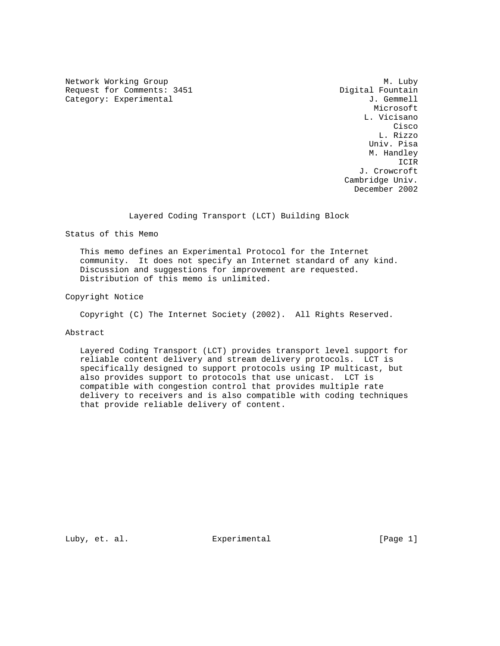Network Working Group Methods and Methods M. Luby Request for Comments: 3451 Digital Fountain Category: Experimental  $J.$  Gemmell

 Microsoft L. Vicisano **Cisco de la contrata de la contrata de la contrata de la contrata de la contrata de la contrata de la contrat**  L. Rizzo Univ. Pisa M. Handley ICIR J. Crowcroft Cambridge Univ. December 2002

Layered Coding Transport (LCT) Building Block

Status of this Memo

 This memo defines an Experimental Protocol for the Internet community. It does not specify an Internet standard of any kind. Discussion and suggestions for improvement are requested. Distribution of this memo is unlimited.

Copyright Notice

Copyright (C) The Internet Society (2002). All Rights Reserved.

# Abstract

 Layered Coding Transport (LCT) provides transport level support for reliable content delivery and stream delivery protocols. LCT is specifically designed to support protocols using IP multicast, but also provides support to protocols that use unicast. LCT is compatible with congestion control that provides multiple rate delivery to receivers and is also compatible with coding techniques that provide reliable delivery of content.

Luby, et. al. Experimental [Page 1]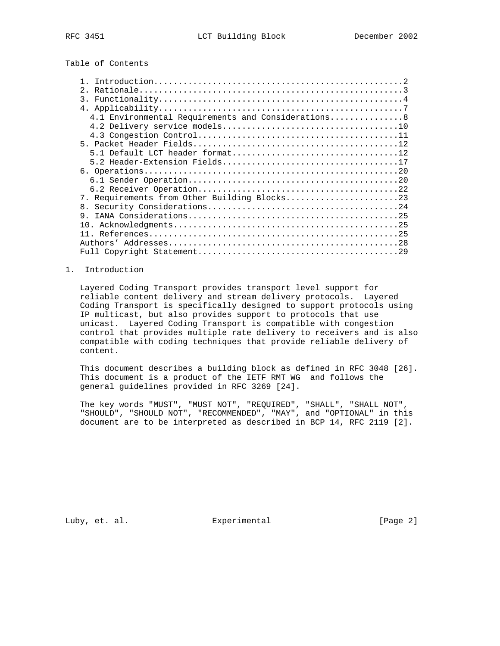Table of Contents

| 2.1                                                |
|----------------------------------------------------|
| 3.                                                 |
|                                                    |
| 4.1 Environmental Requirements and Considerations8 |
|                                                    |
|                                                    |
|                                                    |
|                                                    |
|                                                    |
|                                                    |
|                                                    |
|                                                    |
| 7. Requirements from Other Building Blocks23       |
|                                                    |
| 9                                                  |
|                                                    |
|                                                    |
|                                                    |
|                                                    |
|                                                    |

## 1. Introduction

 Layered Coding Transport provides transport level support for reliable content delivery and stream delivery protocols. Layered Coding Transport is specifically designed to support protocols using IP multicast, but also provides support to protocols that use unicast. Layered Coding Transport is compatible with congestion control that provides multiple rate delivery to receivers and is also compatible with coding techniques that provide reliable delivery of content.

 This document describes a building block as defined in RFC 3048 [26]. This document is a product of the IETF RMT WG and follows the general guidelines provided in RFC 3269 [24].

 The key words "MUST", "MUST NOT", "REQUIRED", "SHALL", "SHALL NOT", "SHOULD", "SHOULD NOT", "RECOMMENDED", "MAY", and "OPTIONAL" in this document are to be interpreted as described in BCP 14, RFC 2119 [2].

Luby, et. al. Subsectimental Experimental [Page 2]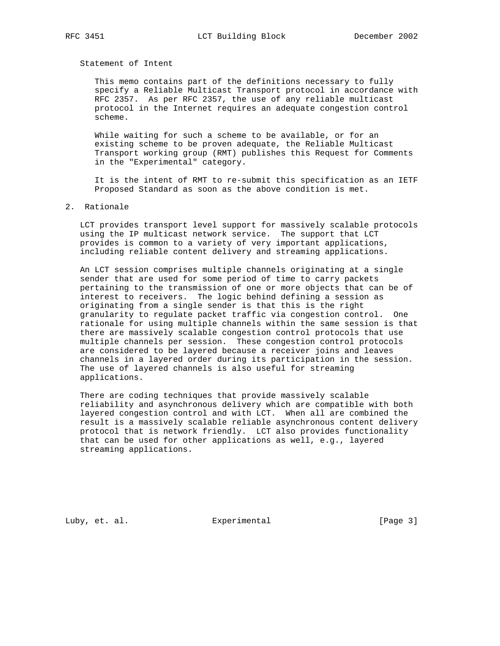Statement of Intent

 This memo contains part of the definitions necessary to fully specify a Reliable Multicast Transport protocol in accordance with RFC 2357. As per RFC 2357, the use of any reliable multicast protocol in the Internet requires an adequate congestion control scheme.

 While waiting for such a scheme to be available, or for an existing scheme to be proven adequate, the Reliable Multicast Transport working group (RMT) publishes this Request for Comments in the "Experimental" category.

 It is the intent of RMT to re-submit this specification as an IETF Proposed Standard as soon as the above condition is met.

### 2. Rationale

 LCT provides transport level support for massively scalable protocols using the IP multicast network service. The support that LCT provides is common to a variety of very important applications, including reliable content delivery and streaming applications.

 An LCT session comprises multiple channels originating at a single sender that are used for some period of time to carry packets pertaining to the transmission of one or more objects that can be of interest to receivers. The logic behind defining a session as originating from a single sender is that this is the right granularity to regulate packet traffic via congestion control. One rationale for using multiple channels within the same session is that there are massively scalable congestion control protocols that use multiple channels per session. These congestion control protocols are considered to be layered because a receiver joins and leaves channels in a layered order during its participation in the session. The use of layered channels is also useful for streaming applications.

 There are coding techniques that provide massively scalable reliability and asynchronous delivery which are compatible with both layered congestion control and with LCT. When all are combined the result is a massively scalable reliable asynchronous content delivery protocol that is network friendly. LCT also provides functionality that can be used for other applications as well, e.g., layered streaming applications.

Luby, et. al. Subsectimental Experimental [Page 3]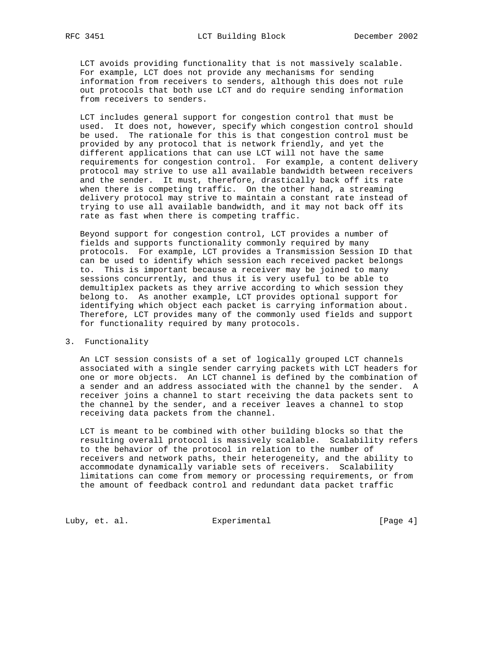LCT avoids providing functionality that is not massively scalable. For example, LCT does not provide any mechanisms for sending information from receivers to senders, although this does not rule out protocols that both use LCT and do require sending information from receivers to senders.

 LCT includes general support for congestion control that must be used. It does not, however, specify which congestion control should be used. The rationale for this is that congestion control must be provided by any protocol that is network friendly, and yet the different applications that can use LCT will not have the same requirements for congestion control. For example, a content delivery protocol may strive to use all available bandwidth between receivers and the sender. It must, therefore, drastically back off its rate when there is competing traffic. On the other hand, a streaming delivery protocol may strive to maintain a constant rate instead of trying to use all available bandwidth, and it may not back off its rate as fast when there is competing traffic.

 Beyond support for congestion control, LCT provides a number of fields and supports functionality commonly required by many protocols. For example, LCT provides a Transmission Session ID that can be used to identify which session each received packet belongs to. This is important because a receiver may be joined to many sessions concurrently, and thus it is very useful to be able to demultiplex packets as they arrive according to which session they belong to. As another example, LCT provides optional support for identifying which object each packet is carrying information about. Therefore, LCT provides many of the commonly used fields and support for functionality required by many protocols.

3. Functionality

 An LCT session consists of a set of logically grouped LCT channels associated with a single sender carrying packets with LCT headers for one or more objects. An LCT channel is defined by the combination of a sender and an address associated with the channel by the sender. A receiver joins a channel to start receiving the data packets sent to the channel by the sender, and a receiver leaves a channel to stop receiving data packets from the channel.

 LCT is meant to be combined with other building blocks so that the resulting overall protocol is massively scalable. Scalability refers to the behavior of the protocol in relation to the number of receivers and network paths, their heterogeneity, and the ability to accommodate dynamically variable sets of receivers. Scalability limitations can come from memory or processing requirements, or from the amount of feedback control and redundant data packet traffic

Luby, et. al. **Experimental** Experimental [Page 4]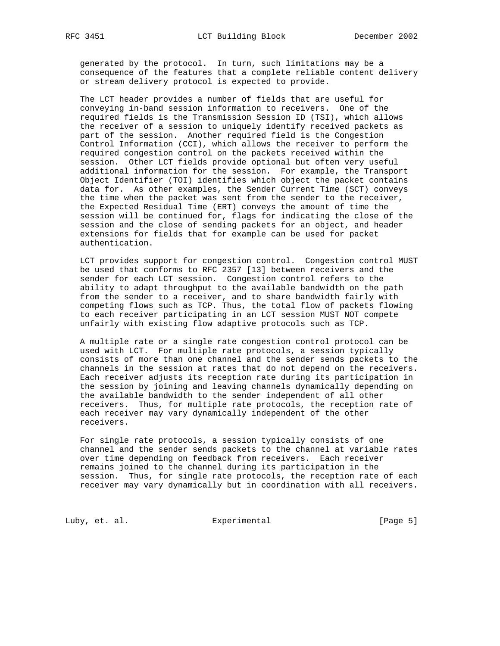generated by the protocol. In turn, such limitations may be a consequence of the features that a complete reliable content delivery or stream delivery protocol is expected to provide.

 The LCT header provides a number of fields that are useful for conveying in-band session information to receivers. One of the required fields is the Transmission Session ID (TSI), which allows the receiver of a session to uniquely identify received packets as part of the session. Another required field is the Congestion Control Information (CCI), which allows the receiver to perform the required congestion control on the packets received within the session. Other LCT fields provide optional but often very useful additional information for the session. For example, the Transport Object Identifier (TOI) identifies which object the packet contains data for. As other examples, the Sender Current Time (SCT) conveys the time when the packet was sent from the sender to the receiver, the Expected Residual Time (ERT) conveys the amount of time the session will be continued for, flags for indicating the close of the session and the close of sending packets for an object, and header extensions for fields that for example can be used for packet authentication.

 LCT provides support for congestion control. Congestion control MUST be used that conforms to RFC 2357 [13] between receivers and the sender for each LCT session. Congestion control refers to the ability to adapt throughput to the available bandwidth on the path from the sender to a receiver, and to share bandwidth fairly with competing flows such as TCP. Thus, the total flow of packets flowing to each receiver participating in an LCT session MUST NOT compete unfairly with existing flow adaptive protocols such as TCP.

 A multiple rate or a single rate congestion control protocol can be used with LCT. For multiple rate protocols, a session typically consists of more than one channel and the sender sends packets to the channels in the session at rates that do not depend on the receivers. Each receiver adjusts its reception rate during its participation in the session by joining and leaving channels dynamically depending on the available bandwidth to the sender independent of all other receivers. Thus, for multiple rate protocols, the reception rate of each receiver may vary dynamically independent of the other receivers.

 For single rate protocols, a session typically consists of one channel and the sender sends packets to the channel at variable rates over time depending on feedback from receivers. Each receiver remains joined to the channel during its participation in the session. Thus, for single rate protocols, the reception rate of each receiver may vary dynamically but in coordination with all receivers.

Luby, et. al. Experimental [Page 5]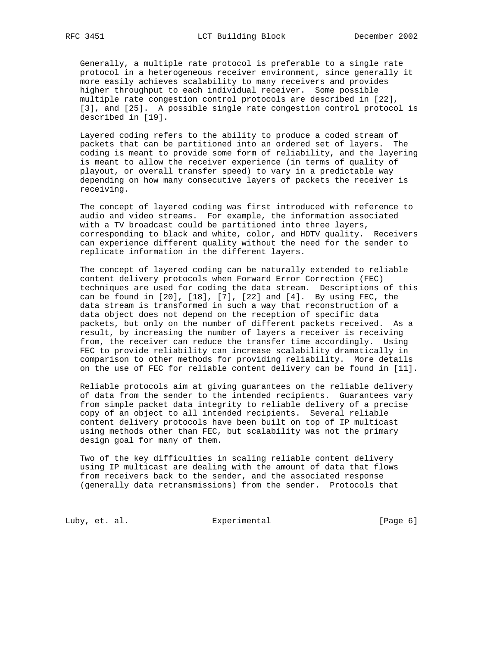Generally, a multiple rate protocol is preferable to a single rate protocol in a heterogeneous receiver environment, since generally it more easily achieves scalability to many receivers and provides higher throughput to each individual receiver. Some possible multiple rate congestion control protocols are described in [22], [3], and [25]. A possible single rate congestion control protocol is described in [19].

 Layered coding refers to the ability to produce a coded stream of packets that can be partitioned into an ordered set of layers. The coding is meant to provide some form of reliability, and the layering is meant to allow the receiver experience (in terms of quality of playout, or overall transfer speed) to vary in a predictable way depending on how many consecutive layers of packets the receiver is receiving.

 The concept of layered coding was first introduced with reference to audio and video streams. For example, the information associated with a TV broadcast could be partitioned into three layers, corresponding to black and white, color, and HDTV quality. Receivers can experience different quality without the need for the sender to replicate information in the different layers.

 The concept of layered coding can be naturally extended to reliable content delivery protocols when Forward Error Correction (FEC) techniques are used for coding the data stream. Descriptions of this can be found in  $[20]$ ,  $[18]$ ,  $[7]$ ,  $[22]$  and  $[4]$ . By using FEC, the data stream is transformed in such a way that reconstruction of a data object does not depend on the reception of specific data packets, but only on the number of different packets received. As a result, by increasing the number of layers a receiver is receiving from, the receiver can reduce the transfer time accordingly. Using FEC to provide reliability can increase scalability dramatically in comparison to other methods for providing reliability. More details on the use of FEC for reliable content delivery can be found in [11].

 Reliable protocols aim at giving guarantees on the reliable delivery of data from the sender to the intended recipients. Guarantees vary from simple packet data integrity to reliable delivery of a precise copy of an object to all intended recipients. Several reliable content delivery protocols have been built on top of IP multicast using methods other than FEC, but scalability was not the primary design goal for many of them.

 Two of the key difficulties in scaling reliable content delivery using IP multicast are dealing with the amount of data that flows from receivers back to the sender, and the associated response (generally data retransmissions) from the sender. Protocols that

Luby, et. al. **Experimental** Experimental [Page 6]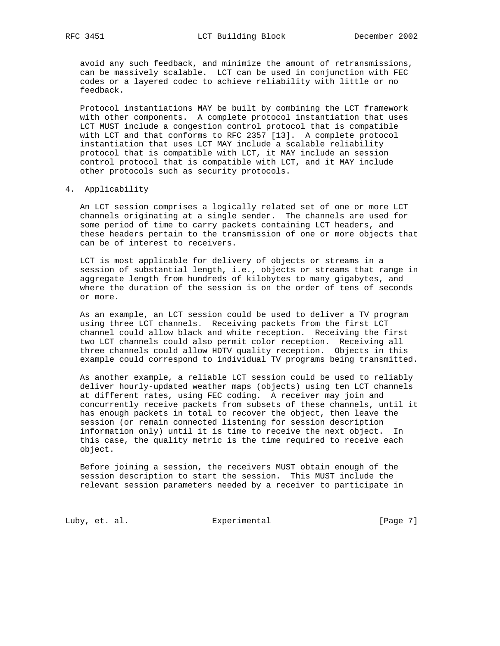avoid any such feedback, and minimize the amount of retransmissions, can be massively scalable. LCT can be used in conjunction with FEC codes or a layered codec to achieve reliability with little or no feedback.

 Protocol instantiations MAY be built by combining the LCT framework with other components. A complete protocol instantiation that uses LCT MUST include a congestion control protocol that is compatible with LCT and that conforms to RFC 2357 [13]. A complete protocol instantiation that uses LCT MAY include a scalable reliability protocol that is compatible with LCT, it MAY include an session control protocol that is compatible with LCT, and it MAY include other protocols such as security protocols.

### 4. Applicability

 An LCT session comprises a logically related set of one or more LCT channels originating at a single sender. The channels are used for some period of time to carry packets containing LCT headers, and these headers pertain to the transmission of one or more objects that can be of interest to receivers.

 LCT is most applicable for delivery of objects or streams in a session of substantial length, i.e., objects or streams that range in aggregate length from hundreds of kilobytes to many gigabytes, and where the duration of the session is on the order of tens of seconds or more.

 As an example, an LCT session could be used to deliver a TV program using three LCT channels. Receiving packets from the first LCT channel could allow black and white reception. Receiving the first two LCT channels could also permit color reception. Receiving all three channels could allow HDTV quality reception. Objects in this example could correspond to individual TV programs being transmitted.

 As another example, a reliable LCT session could be used to reliably deliver hourly-updated weather maps (objects) using ten LCT channels at different rates, using FEC coding. A receiver may join and concurrently receive packets from subsets of these channels, until it has enough packets in total to recover the object, then leave the session (or remain connected listening for session description information only) until it is time to receive the next object. In this case, the quality metric is the time required to receive each object.

 Before joining a session, the receivers MUST obtain enough of the session description to start the session. This MUST include the relevant session parameters needed by a receiver to participate in

Luby, et. al. Experimental [Page 7]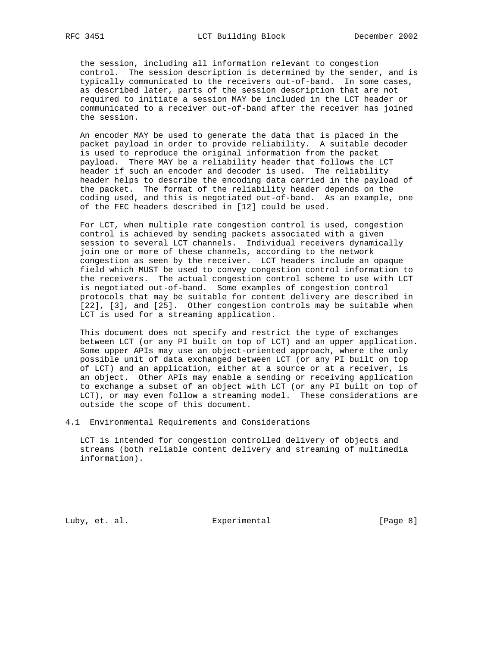the session, including all information relevant to congestion control. The session description is determined by the sender, and is typically communicated to the receivers out-of-band. In some cases, as described later, parts of the session description that are not required to initiate a session MAY be included in the LCT header or communicated to a receiver out-of-band after the receiver has joined the session.

 An encoder MAY be used to generate the data that is placed in the packet payload in order to provide reliability. A suitable decoder is used to reproduce the original information from the packet payload. There MAY be a reliability header that follows the LCT header if such an encoder and decoder is used. The reliability header helps to describe the encoding data carried in the payload of the packet. The format of the reliability header depends on the coding used, and this is negotiated out-of-band. As an example, one of the FEC headers described in [12] could be used.

 For LCT, when multiple rate congestion control is used, congestion control is achieved by sending packets associated with a given session to several LCT channels. Individual receivers dynamically join one or more of these channels, according to the network congestion as seen by the receiver. LCT headers include an opaque field which MUST be used to convey congestion control information to the receivers. The actual congestion control scheme to use with LCT is negotiated out-of-band. Some examples of congestion control protocols that may be suitable for content delivery are described in [22], [3], and [25]. Other congestion controls may be suitable when LCT is used for a streaming application.

 This document does not specify and restrict the type of exchanges between LCT (or any PI built on top of LCT) and an upper application. Some upper APIs may use an object-oriented approach, where the only possible unit of data exchanged between LCT (or any PI built on top of LCT) and an application, either at a source or at a receiver, is an object. Other APIs may enable a sending or receiving application to exchange a subset of an object with LCT (or any PI built on top of LCT), or may even follow a streaming model. These considerations are outside the scope of this document.

4.1 Environmental Requirements and Considerations

 LCT is intended for congestion controlled delivery of objects and streams (both reliable content delivery and streaming of multimedia information).

Luby, et. al. Subsectimental Experimental [Page 8]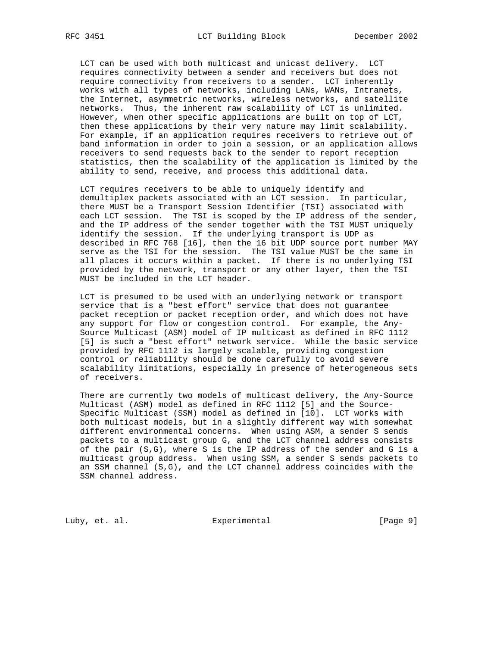LCT can be used with both multicast and unicast delivery. LCT requires connectivity between a sender and receivers but does not require connectivity from receivers to a sender. LCT inherently works with all types of networks, including LANs, WANs, Intranets, the Internet, asymmetric networks, wireless networks, and satellite networks. Thus, the inherent raw scalability of LCT is unlimited. However, when other specific applications are built on top of LCT, then these applications by their very nature may limit scalability. For example, if an application requires receivers to retrieve out of band information in order to join a session, or an application allows receivers to send requests back to the sender to report reception statistics, then the scalability of the application is limited by the ability to send, receive, and process this additional data.

 LCT requires receivers to be able to uniquely identify and demultiplex packets associated with an LCT session. In particular, there MUST be a Transport Session Identifier (TSI) associated with each LCT session. The TSI is scoped by the IP address of the sender, and the IP address of the sender together with the TSI MUST uniquely identify the session. If the underlying transport is UDP as described in RFC 768 [16], then the 16 bit UDP source port number MAY serve as the TSI for the session. The TSI value MUST be the same in all places it occurs within a packet. If there is no underlying TSI provided by the network, transport or any other layer, then the TSI MUST be included in the LCT header.

 LCT is presumed to be used with an underlying network or transport service that is a "best effort" service that does not guarantee packet reception or packet reception order, and which does not have any support for flow or congestion control. For example, the Any- Source Multicast (ASM) model of IP multicast as defined in RFC 1112 [5] is such a "best effort" network service. While the basic service provided by RFC 1112 is largely scalable, providing congestion control or reliability should be done carefully to avoid severe scalability limitations, especially in presence of heterogeneous sets of receivers.

 There are currently two models of multicast delivery, the Any-Source Multicast (ASM) model as defined in RFC 1112 [5] and the Source- Specific Multicast (SSM) model as defined in [10]. LCT works with both multicast models, but in a slightly different way with somewhat different environmental concerns. When using ASM, a sender S sends packets to a multicast group G, and the LCT channel address consists of the pair (S,G), where S is the IP address of the sender and G is a multicast group address. When using SSM, a sender S sends packets to an SSM channel (S,G), and the LCT channel address coincides with the SSM channel address.

Luby, et. al. Subsectimental Experimental [Page 9]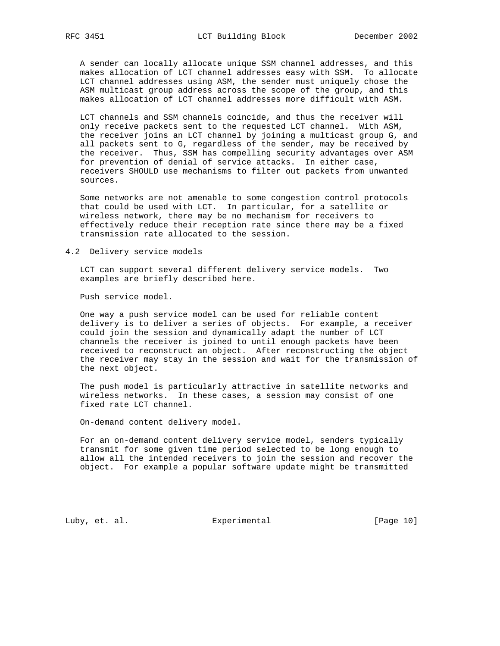A sender can locally allocate unique SSM channel addresses, and this makes allocation of LCT channel addresses easy with SSM. To allocate LCT channel addresses using ASM, the sender must uniquely chose the ASM multicast group address across the scope of the group, and this makes allocation of LCT channel addresses more difficult with ASM.

 LCT channels and SSM channels coincide, and thus the receiver will only receive packets sent to the requested LCT channel. With ASM, the receiver joins an LCT channel by joining a multicast group G, and all packets sent to G, regardless of the sender, may be received by the receiver. Thus, SSM has compelling security advantages over ASM for prevention of denial of service attacks. In either case, receivers SHOULD use mechanisms to filter out packets from unwanted sources.

 Some networks are not amenable to some congestion control protocols that could be used with LCT. In particular, for a satellite or wireless network, there may be no mechanism for receivers to effectively reduce their reception rate since there may be a fixed transmission rate allocated to the session.

4.2 Delivery service models

 LCT can support several different delivery service models. Two examples are briefly described here.

Push service model.

 One way a push service model can be used for reliable content delivery is to deliver a series of objects. For example, a receiver could join the session and dynamically adapt the number of LCT channels the receiver is joined to until enough packets have been received to reconstruct an object. After reconstructing the object the receiver may stay in the session and wait for the transmission of the next object.

 The push model is particularly attractive in satellite networks and wireless networks. In these cases, a session may consist of one fixed rate LCT channel.

On-demand content delivery model.

 For an on-demand content delivery service model, senders typically transmit for some given time period selected to be long enough to allow all the intended receivers to join the session and recover the object. For example a popular software update might be transmitted

Luby, et. al. Subsectimental Experimental [Page 10]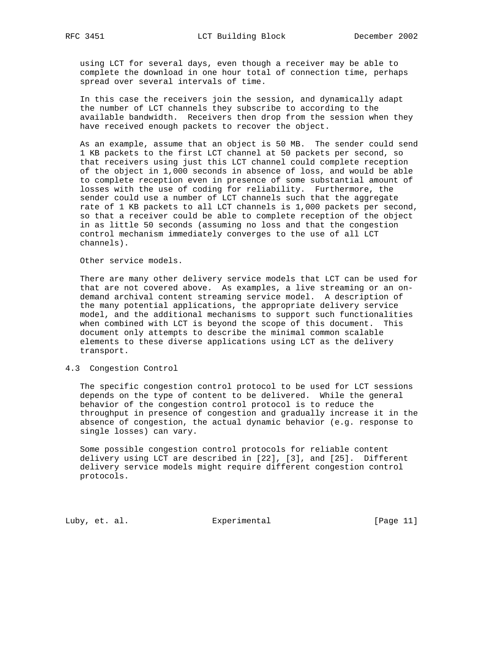using LCT for several days, even though a receiver may be able to complete the download in one hour total of connection time, perhaps spread over several intervals of time.

 In this case the receivers join the session, and dynamically adapt the number of LCT channels they subscribe to according to the available bandwidth. Receivers then drop from the session when they have received enough packets to recover the object.

 As an example, assume that an object is 50 MB. The sender could send 1 KB packets to the first LCT channel at 50 packets per second, so that receivers using just this LCT channel could complete reception of the object in 1,000 seconds in absence of loss, and would be able to complete reception even in presence of some substantial amount of losses with the use of coding for reliability. Furthermore, the sender could use a number of LCT channels such that the aggregate rate of 1 KB packets to all LCT channels is 1,000 packets per second, so that a receiver could be able to complete reception of the object in as little 50 seconds (assuming no loss and that the congestion control mechanism immediately converges to the use of all LCT channels).

Other service models.

 There are many other delivery service models that LCT can be used for that are not covered above. As examples, a live streaming or an on demand archival content streaming service model. A description of the many potential applications, the appropriate delivery service model, and the additional mechanisms to support such functionalities when combined with LCT is beyond the scope of this document. This document only attempts to describe the minimal common scalable elements to these diverse applications using LCT as the delivery transport.

#### 4.3 Congestion Control

 The specific congestion control protocol to be used for LCT sessions depends on the type of content to be delivered. While the general behavior of the congestion control protocol is to reduce the throughput in presence of congestion and gradually increase it in the absence of congestion, the actual dynamic behavior (e.g. response to single losses) can vary.

 Some possible congestion control protocols for reliable content delivery using LCT are described in [22], [3], and [25]. Different delivery service models might require different congestion control protocols.

Luby, et. al. Experimental [Page 11]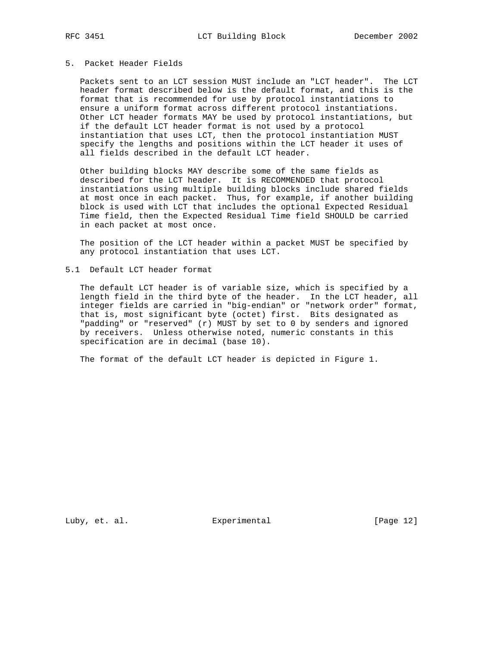# 5. Packet Header Fields

 Packets sent to an LCT session MUST include an "LCT header". The LCT header format described below is the default format, and this is the format that is recommended for use by protocol instantiations to ensure a uniform format across different protocol instantiations. Other LCT header formats MAY be used by protocol instantiations, but if the default LCT header format is not used by a protocol instantiation that uses LCT, then the protocol instantiation MUST specify the lengths and positions within the LCT header it uses of all fields described in the default LCT header.

 Other building blocks MAY describe some of the same fields as described for the LCT header. It is RECOMMENDED that protocol instantiations using multiple building blocks include shared fields at most once in each packet. Thus, for example, if another building block is used with LCT that includes the optional Expected Residual Time field, then the Expected Residual Time field SHOULD be carried in each packet at most once.

 The position of the LCT header within a packet MUST be specified by any protocol instantiation that uses LCT.

5.1 Default LCT header format

 The default LCT header is of variable size, which is specified by a length field in the third byte of the header. In the LCT header, all integer fields are carried in "big-endian" or "network order" format, that is, most significant byte (octet) first. Bits designated as "padding" or "reserved" (r) MUST by set to 0 by senders and ignored by receivers. Unless otherwise noted, numeric constants in this specification are in decimal (base 10).

The format of the default LCT header is depicted in Figure 1.

Luby, et. al. Experimental [Page 12]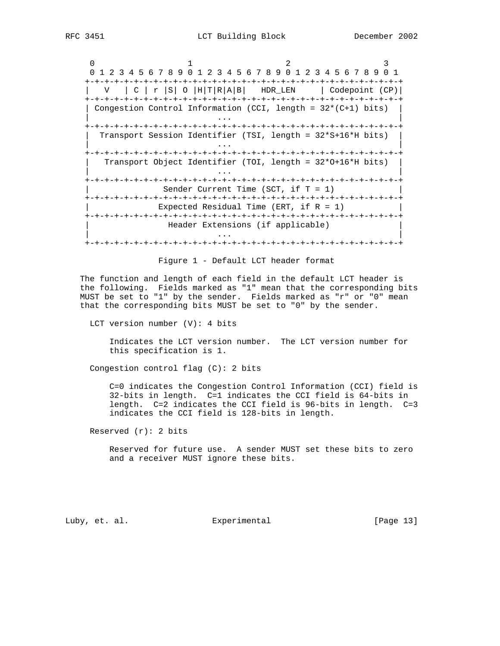$0$  1 2 3 0 1 2 3 4 5 6 7 8 9 0 1 2 3 4 5 6 7 8 9 0 1 2 3 4 5 6 7 8 9 0 1 +-+-+-+-+-+-+-+-+-+-+-+-+-+-+-+-+-+-+-+-+-+-+-+-+-+-+-+-+-+-+-+-+  $| V | C | r | s | 0 | H | T | R | A | B | H D R$  LEN  $| \text{ Codepoint (CP)} |$  +-+-+-+-+-+-+-+-+-+-+-+-+-+-+-+-+-+-+-+-+-+-+-+-+-+-+-+-+-+-+-+-+ | Congestion Control Information (CCI, length = 32\*(C+1) bits) | | ... | ... | ... | ... | ... | ... | ... | ... | ... | ... | ... | ... | ... | ... | ... | ... | ... | ... | +-+-+-+-+-+-+-+-+-+-+-+-+-+-+-+-+-+-+-+-+-+-+-+-+-+-+-+-+-+-+-+-+ | Transport Session Identifier (TSI, length = 32\*S+16\*H bits) | | ... | ... | ... | ... | ... | ... | ... | ... | ... | ... | ... | ... | ... | ... | ... | ... | ... | ... | +-+-+-+-+-+-+-+-+-+-+-+-+-+-+-+-+-+-+-+-+-+-+-+-+-+-+-+-+-+-+-+-+ | Transport Object Identifier (TOI, length = 32\*O+16\*H bits) | | ... | ... | ... | ... | ... | ... | ... | ... | ... | ... | ... | ... | ... | ... | ... | ... | ... | ... | +-+-+-+-+-+-+-+-+-+-+-+-+-+-+-+-+-+-+-+-+-+-+-+-+-+-+-+-+-+-+-+-+ Sender Current Time (SCT, if  $T = 1$ ) +-+-+-+-+-+-+-+-+-+-+-+-+-+-+-+-+-+-+-+-+-+-+-+-+-+-+-+-+-+-+-+-+ Expected Residual Time (ERT, if  $R = 1$ ) +-+-+-+-+-+-+-+-+-+-+-+-+-+-+-+-+-+-+-+-+-+-+-+-+-+-+-+-+-+-+-+-+ Header Extensions (if applicable) | ... | ... | ... | ... | ... | ... | ... | ... | ... | ... | ... | ... | ... | ... | ... | ... | ... | ... | +-+-+-+-+-+-+-+-+-+-+-+-+-+-+-+-+-+-+-+-+-+-+-+-+-+-+-+-+-+-+-+-+

Figure 1 - Default LCT header format

 The function and length of each field in the default LCT header is the following. Fields marked as "1" mean that the corresponding bits MUST be set to "1" by the sender. Fields marked as "r" or "0" mean that the corresponding bits MUST be set to "0" by the sender.

LCT version number (V): 4 bits

 Indicates the LCT version number. The LCT version number for this specification is 1.

Congestion control flag (C): 2 bits

 C=0 indicates the Congestion Control Information (CCI) field is 32-bits in length. C=1 indicates the CCI field is 64-bits in length. C=2 indicates the CCI field is 96-bits in length. C=3 indicates the CCI field is 128-bits in length.

Reserved  $(r): 2 \text{ bits}$ 

 Reserved for future use. A sender MUST set these bits to zero and a receiver MUST ignore these bits.

Luby, et. al. Experimental [Page 13]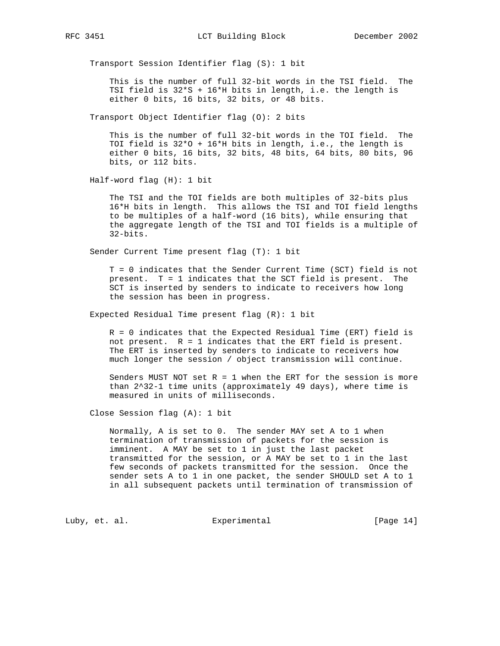Transport Session Identifier flag (S): 1 bit

 This is the number of full 32-bit words in the TSI field. The TSI field is 32\*S + 16\*H bits in length, i.e. the length is either 0 bits, 16 bits, 32 bits, or 48 bits.

Transport Object Identifier flag (O): 2 bits

 This is the number of full 32-bit words in the TOI field. The TOI field is 32\*O + 16\*H bits in length, i.e., the length is either 0 bits, 16 bits, 32 bits, 48 bits, 64 bits, 80 bits, 96 bits, or 112 bits.

Half-word flag (H): 1 bit

 The TSI and the TOI fields are both multiples of 32-bits plus 16\*H bits in length. This allows the TSI and TOI field lengths to be multiples of a half-word (16 bits), while ensuring that the aggregate length of the TSI and TOI fields is a multiple of 32-bits.

Sender Current Time present flag (T): 1 bit

 T = 0 indicates that the Sender Current Time (SCT) field is not present. T = 1 indicates that the SCT field is present. The SCT is inserted by senders to indicate to receivers how long the session has been in progress.

Expected Residual Time present flag (R): 1 bit

 R = 0 indicates that the Expected Residual Time (ERT) field is not present. R = 1 indicates that the ERT field is present. The ERT is inserted by senders to indicate to receivers how much longer the session / object transmission will continue.

Senders MUST NOT set  $R = 1$  when the ERT for the session is more than 2^32-1 time units (approximately 49 days), where time is measured in units of milliseconds.

Close Session flag (A): 1 bit

 Normally, A is set to 0. The sender MAY set A to 1 when termination of transmission of packets for the session is imminent. A MAY be set to 1 in just the last packet transmitted for the session, or A MAY be set to 1 in the last few seconds of packets transmitted for the session. Once the sender sets A to 1 in one packet, the sender SHOULD set A to 1 in all subsequent packets until termination of transmission of

Luby, et. al. Subsectimental Experimental [Page 14]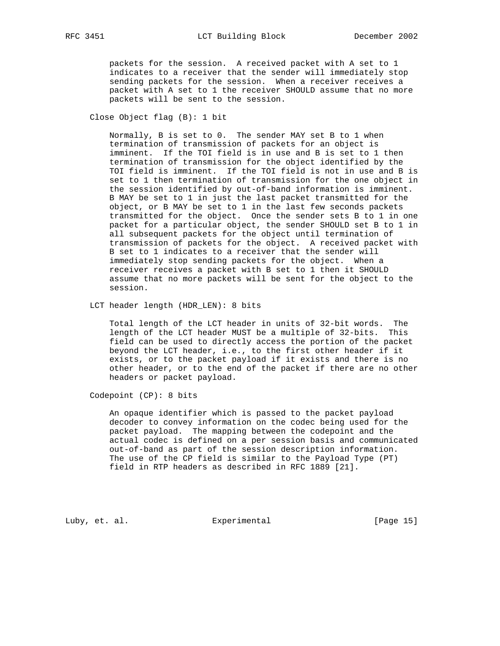packets for the session. A received packet with A set to 1 indicates to a receiver that the sender will immediately stop sending packets for the session. When a receiver receives a packet with A set to 1 the receiver SHOULD assume that no more packets will be sent to the session.

Close Object flag (B): 1 bit

 Normally, B is set to 0. The sender MAY set B to 1 when termination of transmission of packets for an object is imminent. If the TOI field is in use and B is set to 1 then termination of transmission for the object identified by the TOI field is imminent. If the TOI field is not in use and B is set to 1 then termination of transmission for the one object in the session identified by out-of-band information is imminent. B MAY be set to 1 in just the last packet transmitted for the object, or B MAY be set to 1 in the last few seconds packets transmitted for the object. Once the sender sets B to 1 in one packet for a particular object, the sender SHOULD set B to 1 in all subsequent packets for the object until termination of transmission of packets for the object. A received packet with B set to 1 indicates to a receiver that the sender will immediately stop sending packets for the object. When a receiver receives a packet with B set to 1 then it SHOULD assume that no more packets will be sent for the object to the session.

LCT header length (HDR\_LEN): 8 bits

 Total length of the LCT header in units of 32-bit words. The length of the LCT header MUST be a multiple of 32-bits. This field can be used to directly access the portion of the packet beyond the LCT header, i.e., to the first other header if it exists, or to the packet payload if it exists and there is no other header, or to the end of the packet if there are no other headers or packet payload.

Codepoint (CP): 8 bits

 An opaque identifier which is passed to the packet payload decoder to convey information on the codec being used for the packet payload. The mapping between the codepoint and the actual codec is defined on a per session basis and communicated out-of-band as part of the session description information. The use of the CP field is similar to the Payload Type (PT) field in RTP headers as described in RFC 1889 [21].

Luby, et. al. Experimental [Page 15]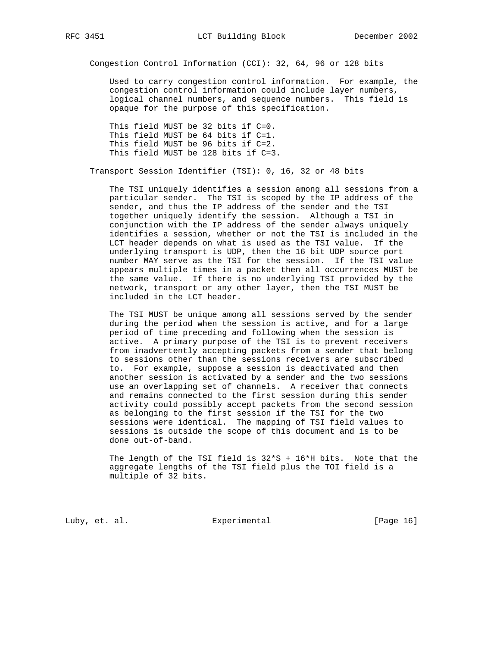Congestion Control Information (CCI): 32, 64, 96 or 128 bits

 Used to carry congestion control information. For example, the congestion control information could include layer numbers, logical channel numbers, and sequence numbers. This field is opaque for the purpose of this specification.

 This field MUST be 32 bits if C=0. This field MUST be 64 bits if C=1. This field MUST be 96 bits if C=2. This field MUST be 128 bits if C=3.

Transport Session Identifier (TSI): 0, 16, 32 or 48 bits

 The TSI uniquely identifies a session among all sessions from a particular sender. The TSI is scoped by the IP address of the sender, and thus the IP address of the sender and the TSI together uniquely identify the session. Although a TSI in conjunction with the IP address of the sender always uniquely identifies a session, whether or not the TSI is included in the LCT header depends on what is used as the TSI value. If the underlying transport is UDP, then the 16 bit UDP source port number MAY serve as the TSI for the session. If the TSI value appears multiple times in a packet then all occurrences MUST be the same value. If there is no underlying TSI provided by the network, transport or any other layer, then the TSI MUST be included in the LCT header.

 The TSI MUST be unique among all sessions served by the sender during the period when the session is active, and for a large period of time preceding and following when the session is active. A primary purpose of the TSI is to prevent receivers from inadvertently accepting packets from a sender that belong to sessions other than the sessions receivers are subscribed to. For example, suppose a session is deactivated and then another session is activated by a sender and the two sessions use an overlapping set of channels. A receiver that connects and remains connected to the first session during this sender activity could possibly accept packets from the second session as belonging to the first session if the TSI for the two sessions were identical. The mapping of TSI field values to sessions is outside the scope of this document and is to be done out-of-band.

 The length of the TSI field is 32\*S + 16\*H bits. Note that the aggregate lengths of the TSI field plus the TOI field is a multiple of 32 bits.

Luby, et. al. Subsectimental Experimental [Page 16]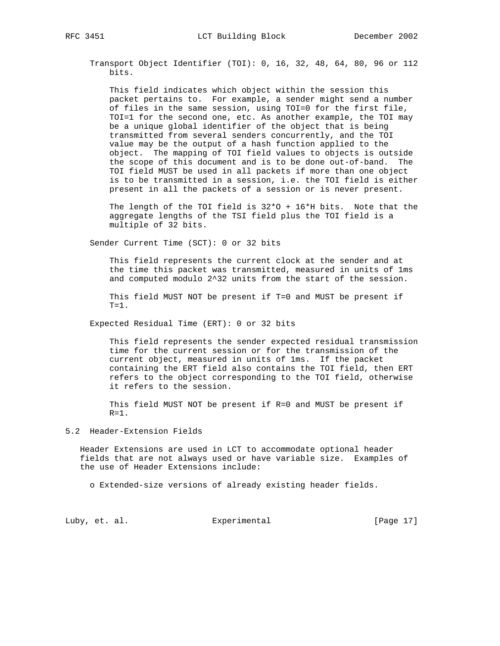Transport Object Identifier (TOI): 0, 16, 32, 48, 64, 80, 96 or 112 bits.

 This field indicates which object within the session this packet pertains to. For example, a sender might send a number of files in the same session, using TOI=0 for the first file, TOI=1 for the second one, etc. As another example, the TOI may be a unique global identifier of the object that is being transmitted from several senders concurrently, and the TOI value may be the output of a hash function applied to the object. The mapping of TOI field values to objects is outside the scope of this document and is to be done out-of-band. The TOI field MUST be used in all packets if more than one object is to be transmitted in a session, i.e. the TOI field is either present in all the packets of a session or is never present.

 The length of the TOI field is 32\*O + 16\*H bits. Note that the aggregate lengths of the TSI field plus the TOI field is a multiple of 32 bits.

Sender Current Time (SCT): 0 or 32 bits

 This field represents the current clock at the sender and at the time this packet was transmitted, measured in units of 1ms and computed modulo 2^32 units from the start of the session.

 This field MUST NOT be present if T=0 and MUST be present if  $T=1$ .

Expected Residual Time (ERT): 0 or 32 bits

 This field represents the sender expected residual transmission time for the current session or for the transmission of the current object, measured in units of 1ms. If the packet containing the ERT field also contains the TOI field, then ERT refers to the object corresponding to the TOI field, otherwise it refers to the session.

 This field MUST NOT be present if R=0 and MUST be present if  $R=1$ .

### 5.2 Header-Extension Fields

 Header Extensions are used in LCT to accommodate optional header fields that are not always used or have variable size. Examples of the use of Header Extensions include:

o Extended-size versions of already existing header fields.

Luby, et. al. Subsectimental Experimental [Page 17]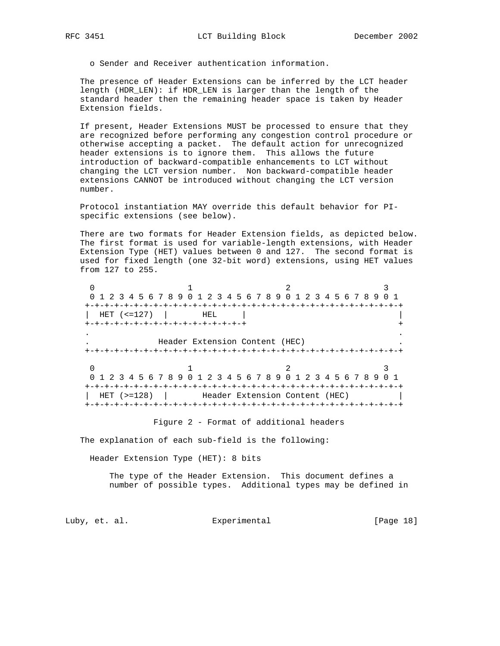o Sender and Receiver authentication information.

 The presence of Header Extensions can be inferred by the LCT header length (HDR\_LEN): if HDR\_LEN is larger than the length of the standard header then the remaining header space is taken by Header Extension fields.

 If present, Header Extensions MUST be processed to ensure that they are recognized before performing any congestion control procedure or otherwise accepting a packet. The default action for unrecognized header extensions is to ignore them. This allows the future introduction of backward-compatible enhancements to LCT without changing the LCT version number. Non backward-compatible header extensions CANNOT be introduced without changing the LCT version number.

 Protocol instantiation MAY override this default behavior for PI specific extensions (see below).

 There are two formats for Header Extension fields, as depicted below. The first format is used for variable-length extensions, with Header Extension Type (HET) values between 0 and 127. The second format is used for fixed length (one 32-bit word) extensions, using HET values from 127 to 255.

 $0$  1 2 3 0 1 2 3 4 5 6 7 8 9 0 1 2 3 4 5 6 7 8 9 0 1 2 3 4 5 6 7 8 9 0 1 +-+-+-+-+-+-+-+-+-+-+-+-+-+-+-+-+-+-+-+-+-+-+-+-+-+-+-+-+-+-+-+-+ | HET (<=127) | HEL | | +-+-+-+-+-+-+-+-+-+-+-+-+-+-+-+-+ + . . . Header Extension Content (HEC) . +-+-+-+-+-+-+-+-+-+-+-+-+-+-+-+-+-+-+-+-+-+-+-+-+-+-+-+-+-+-+-+-+  $\begin{array}{ccccccc}\n0 & & & & 1 & & & & 2 & & & & 3\n\end{array}$  0 1 2 3 4 5 6 7 8 9 0 1 2 3 4 5 6 7 8 9 0 1 2 3 4 5 6 7 8 9 0 1 +-+-+-+-+-+-+-+-+-+-+-+-+-+-+-+-+-+-+-+-+-+-+-+-+-+-+-+-+-+-+-+-+ HET (>=128) | Header Extension Content (HEC) +-+-+-+-+-+-+-+-+-+-+-+-+-+-+-+-+-+-+-+-+-+-+-+-+-+-+-+-+-+-+-+-+

Figure 2 - Format of additional headers

The explanation of each sub-field is the following:

Header Extension Type (HET): 8 bits

 The type of the Header Extension. This document defines a number of possible types. Additional types may be defined in

Luby, et. al. Experimental [Page 18]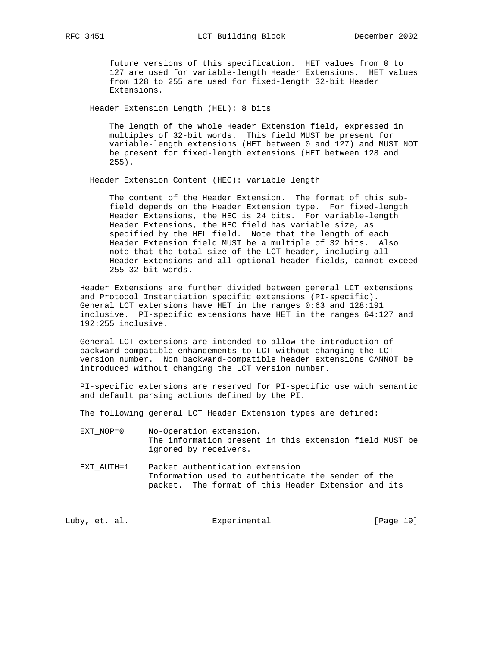future versions of this specification. HET values from 0 to 127 are used for variable-length Header Extensions. HET values from 128 to 255 are used for fixed-length 32-bit Header Extensions.

Header Extension Length (HEL): 8 bits

 The length of the whole Header Extension field, expressed in multiples of 32-bit words. This field MUST be present for variable-length extensions (HET between 0 and 127) and MUST NOT be present for fixed-length extensions (HET between 128 and 255).

Header Extension Content (HEC): variable length

 The content of the Header Extension. The format of this sub field depends on the Header Extension type. For fixed-length Header Extensions, the HEC is 24 bits. For variable-length Header Extensions, the HEC field has variable size, as specified by the HEL field. Note that the length of each Header Extension field MUST be a multiple of 32 bits. Also note that the total size of the LCT header, including all Header Extensions and all optional header fields, cannot exceed 255 32-bit words.

 Header Extensions are further divided between general LCT extensions and Protocol Instantiation specific extensions (PI-specific). General LCT extensions have HET in the ranges 0:63 and 128:191 inclusive. PI-specific extensions have HET in the ranges 64:127 and 192:255 inclusive.

 General LCT extensions are intended to allow the introduction of backward-compatible enhancements to LCT without changing the LCT version number. Non backward-compatible header extensions CANNOT be introduced without changing the LCT version number.

 PI-specific extensions are reserved for PI-specific use with semantic and default parsing actions defined by the PI.

The following general LCT Header Extension types are defined:

- EXT\_NOP=0 No-Operation extension. The information present in this extension field MUST be ignored by receivers.
- EXT AUTH=1 Packet authentication extension Information used to authenticate the sender of the packet. The format of this Header Extension and its

Luby, et. al. Subsectimental Experimental [Page 19]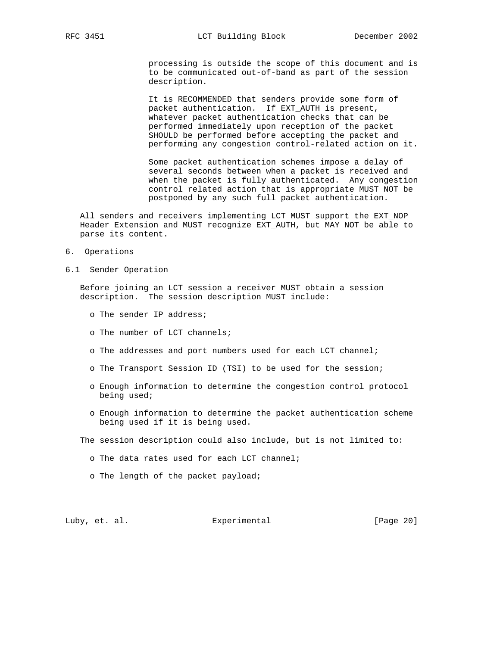processing is outside the scope of this document and is to be communicated out-of-band as part of the session description.

 It is RECOMMENDED that senders provide some form of packet authentication. If EXT\_AUTH is present, whatever packet authentication checks that can be performed immediately upon reception of the packet SHOULD be performed before accepting the packet and performing any congestion control-related action on it.

 Some packet authentication schemes impose a delay of several seconds between when a packet is received and when the packet is fully authenticated. Any congestion control related action that is appropriate MUST NOT be postponed by any such full packet authentication.

 All senders and receivers implementing LCT MUST support the EXT\_NOP Header Extension and MUST recognize EXT\_AUTH, but MAY NOT be able to parse its content.

- 6. Operations
- 6.1 Sender Operation

 Before joining an LCT session a receiver MUST obtain a session description. The session description MUST include:

- o The sender IP address;
- o The number of LCT channels;
- o The addresses and port numbers used for each LCT channel;
- o The Transport Session ID (TSI) to be used for the session;
- o Enough information to determine the congestion control protocol being used;
- o Enough information to determine the packet authentication scheme being used if it is being used.
- The session description could also include, but is not limited to:
	- o The data rates used for each LCT channel;
	- o The length of the packet payload;

# Luby, et. al. Subsectimental Experimental [Page 20]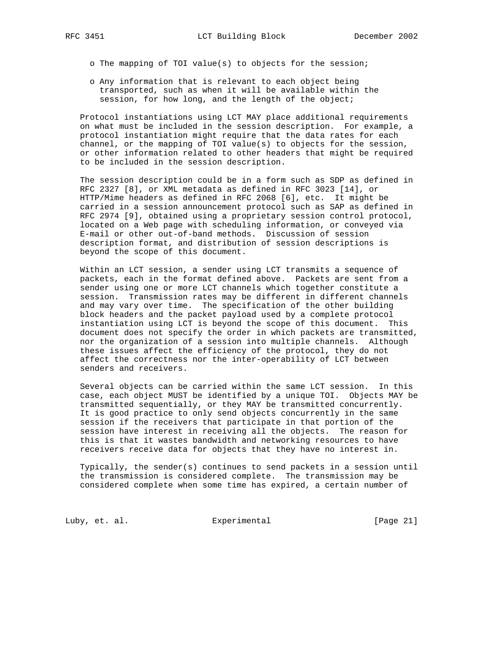o The mapping of TOI value(s) to objects for the session;

 o Any information that is relevant to each object being transported, such as when it will be available within the session, for how long, and the length of the object;

 Protocol instantiations using LCT MAY place additional requirements on what must be included in the session description. For example, a protocol instantiation might require that the data rates for each channel, or the mapping of TOI value(s) to objects for the session, or other information related to other headers that might be required to be included in the session description.

 The session description could be in a form such as SDP as defined in RFC 2327 [8], or XML metadata as defined in RFC 3023 [14], or HTTP/Mime headers as defined in RFC 2068 [6], etc. It might be carried in a session announcement protocol such as SAP as defined in RFC 2974 [9], obtained using a proprietary session control protocol, located on a Web page with scheduling information, or conveyed via E-mail or other out-of-band methods. Discussion of session description format, and distribution of session descriptions is beyond the scope of this document.

 Within an LCT session, a sender using LCT transmits a sequence of packets, each in the format defined above. Packets are sent from a sender using one or more LCT channels which together constitute a session. Transmission rates may be different in different channels and may vary over time. The specification of the other building block headers and the packet payload used by a complete protocol instantiation using LCT is beyond the scope of this document. This document does not specify the order in which packets are transmitted, nor the organization of a session into multiple channels. Although these issues affect the efficiency of the protocol, they do not affect the correctness nor the inter-operability of LCT between senders and receivers.

 Several objects can be carried within the same LCT session. In this case, each object MUST be identified by a unique TOI. Objects MAY be transmitted sequentially, or they MAY be transmitted concurrently. It is good practice to only send objects concurrently in the same session if the receivers that participate in that portion of the session have interest in receiving all the objects. The reason for this is that it wastes bandwidth and networking resources to have receivers receive data for objects that they have no interest in.

 Typically, the sender(s) continues to send packets in a session until the transmission is considered complete. The transmission may be considered complete when some time has expired, a certain number of

Luby, et. al. Experimental [Page 21]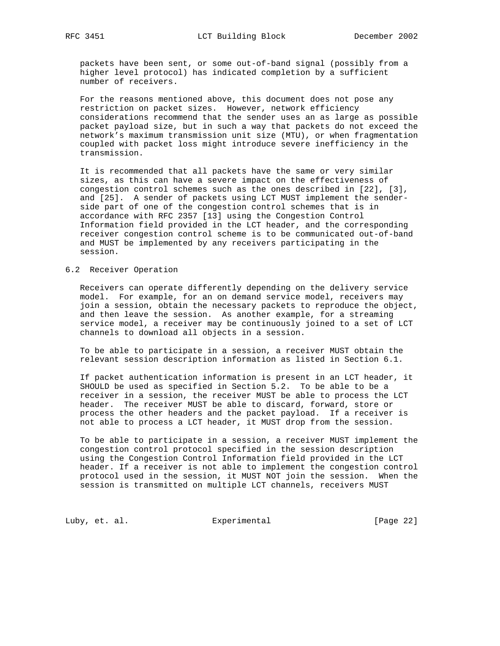packets have been sent, or some out-of-band signal (possibly from a higher level protocol) has indicated completion by a sufficient number of receivers.

 For the reasons mentioned above, this document does not pose any restriction on packet sizes. However, network efficiency considerations recommend that the sender uses an as large as possible packet payload size, but in such a way that packets do not exceed the network's maximum transmission unit size (MTU), or when fragmentation coupled with packet loss might introduce severe inefficiency in the transmission.

 It is recommended that all packets have the same or very similar sizes, as this can have a severe impact on the effectiveness of congestion control schemes such as the ones described in [22], [3], and [25]. A sender of packets using LCT MUST implement the sender side part of one of the congestion control schemes that is in accordance with RFC 2357 [13] using the Congestion Control Information field provided in the LCT header, and the corresponding receiver congestion control scheme is to be communicated out-of-band and MUST be implemented by any receivers participating in the session.

#### 6.2 Receiver Operation

 Receivers can operate differently depending on the delivery service model. For example, for an on demand service model, receivers may join a session, obtain the necessary packets to reproduce the object, and then leave the session. As another example, for a streaming service model, a receiver may be continuously joined to a set of LCT channels to download all objects in a session.

 To be able to participate in a session, a receiver MUST obtain the relevant session description information as listed in Section 6.1.

 If packet authentication information is present in an LCT header, it SHOULD be used as specified in Section 5.2. To be able to be a receiver in a session, the receiver MUST be able to process the LCT header. The receiver MUST be able to discard, forward, store or process the other headers and the packet payload. If a receiver is not able to process a LCT header, it MUST drop from the session.

 To be able to participate in a session, a receiver MUST implement the congestion control protocol specified in the session description using the Congestion Control Information field provided in the LCT header. If a receiver is not able to implement the congestion control protocol used in the session, it MUST NOT join the session. When the session is transmitted on multiple LCT channels, receivers MUST

Luby, et. al. Experimental [Page 22]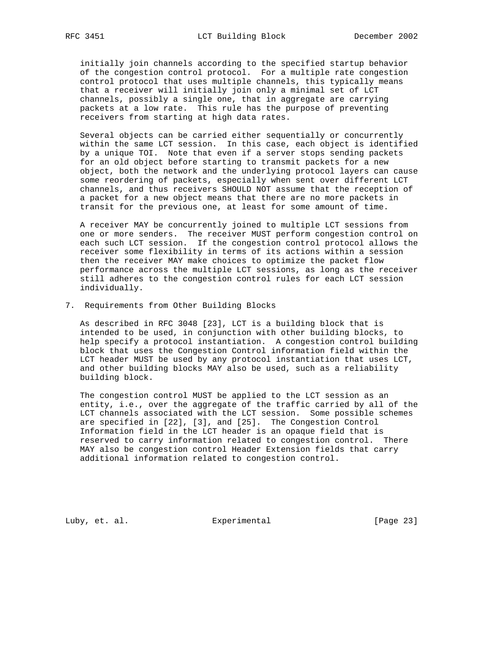initially join channels according to the specified startup behavior of the congestion control protocol. For a multiple rate congestion control protocol that uses multiple channels, this typically means that a receiver will initially join only a minimal set of LCT channels, possibly a single one, that in aggregate are carrying packets at a low rate. This rule has the purpose of preventing receivers from starting at high data rates.

 Several objects can be carried either sequentially or concurrently within the same LCT session. In this case, each object is identified by a unique TOI. Note that even if a server stops sending packets for an old object before starting to transmit packets for a new object, both the network and the underlying protocol layers can cause some reordering of packets, especially when sent over different LCT channels, and thus receivers SHOULD NOT assume that the reception of a packet for a new object means that there are no more packets in transit for the previous one, at least for some amount of time.

 A receiver MAY be concurrently joined to multiple LCT sessions from one or more senders. The receiver MUST perform congestion control on each such LCT session. If the congestion control protocol allows the receiver some flexibility in terms of its actions within a session then the receiver MAY make choices to optimize the packet flow performance across the multiple LCT sessions, as long as the receiver still adheres to the congestion control rules for each LCT session individually.

7. Requirements from Other Building Blocks

 As described in RFC 3048 [23], LCT is a building block that is intended to be used, in conjunction with other building blocks, to help specify a protocol instantiation. A congestion control building block that uses the Congestion Control information field within the LCT header MUST be used by any protocol instantiation that uses LCT, and other building blocks MAY also be used, such as a reliability building block.

 The congestion control MUST be applied to the LCT session as an entity, i.e., over the aggregate of the traffic carried by all of the LCT channels associated with the LCT session. Some possible schemes are specified in [22], [3], and [25]. The Congestion Control Information field in the LCT header is an opaque field that is reserved to carry information related to congestion control. There MAY also be congestion control Header Extension fields that carry additional information related to congestion control.

Luby, et. al. Experimental [Page 23]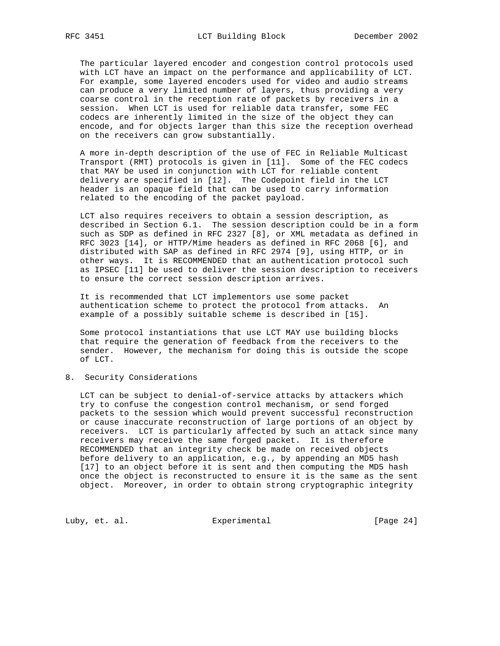The particular layered encoder and congestion control protocols used with LCT have an impact on the performance and applicability of LCT. For example, some layered encoders used for video and audio streams can produce a very limited number of layers, thus providing a very coarse control in the reception rate of packets by receivers in a session. When LCT is used for reliable data transfer, some FEC codecs are inherently limited in the size of the object they can encode, and for objects larger than this size the reception overhead on the receivers can grow substantially.

 A more in-depth description of the use of FEC in Reliable Multicast Transport (RMT) protocols is given in [11]. Some of the FEC codecs that MAY be used in conjunction with LCT for reliable content delivery are specified in [12]. The Codepoint field in the LCT header is an opaque field that can be used to carry information related to the encoding of the packet payload.

 LCT also requires receivers to obtain a session description, as described in Section 6.1. The session description could be in a form such as SDP as defined in RFC 2327 [8], or XML metadata as defined in RFC 3023 [14], or HTTP/Mime headers as defined in RFC 2068 [6], and distributed with SAP as defined in RFC 2974 [9], using HTTP, or in other ways. It is RECOMMENDED that an authentication protocol such as IPSEC [11] be used to deliver the session description to receivers to ensure the correct session description arrives.

 It is recommended that LCT implementors use some packet authentication scheme to protect the protocol from attacks. An example of a possibly suitable scheme is described in [15].

 Some protocol instantiations that use LCT MAY use building blocks that require the generation of feedback from the receivers to the sender. However, the mechanism for doing this is outside the scope of LCT.

8. Security Considerations

 LCT can be subject to denial-of-service attacks by attackers which try to confuse the congestion control mechanism, or send forged packets to the session which would prevent successful reconstruction or cause inaccurate reconstruction of large portions of an object by receivers. LCT is particularly affected by such an attack since many receivers may receive the same forged packet. It is therefore RECOMMENDED that an integrity check be made on received objects before delivery to an application, e.g., by appending an MD5 hash [17] to an object before it is sent and then computing the MD5 hash once the object is reconstructed to ensure it is the same as the sent object. Moreover, in order to obtain strong cryptographic integrity

Luby, et. al. **Experimental** Experimental [Page 24]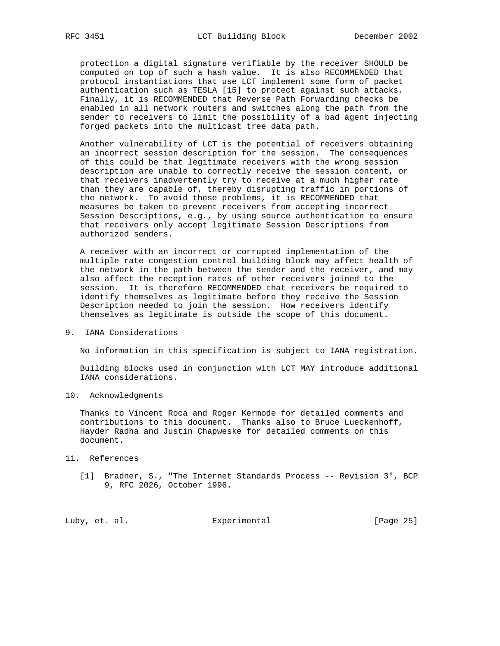protection a digital signature verifiable by the receiver SHOULD be computed on top of such a hash value. It is also RECOMMENDED that protocol instantiations that use LCT implement some form of packet authentication such as TESLA [15] to protect against such attacks. Finally, it is RECOMMENDED that Reverse Path Forwarding checks be enabled in all network routers and switches along the path from the sender to receivers to limit the possibility of a bad agent injecting forged packets into the multicast tree data path.

 Another vulnerability of LCT is the potential of receivers obtaining an incorrect session description for the session. The consequences of this could be that legitimate receivers with the wrong session description are unable to correctly receive the session content, or that receivers inadvertently try to receive at a much higher rate than they are capable of, thereby disrupting traffic in portions of the network. To avoid these problems, it is RECOMMENDED that measures be taken to prevent receivers from accepting incorrect Session Descriptions, e.g., by using source authentication to ensure that receivers only accept legitimate Session Descriptions from authorized senders.

 A receiver with an incorrect or corrupted implementation of the multiple rate congestion control building block may affect health of the network in the path between the sender and the receiver, and may also affect the reception rates of other receivers joined to the session. It is therefore RECOMMENDED that receivers be required to identify themselves as legitimate before they receive the Session Description needed to join the session. How receivers identify themselves as legitimate is outside the scope of this document.

9. IANA Considerations

No information in this specification is subject to IANA registration.

 Building blocks used in conjunction with LCT MAY introduce additional IANA considerations.

10. Acknowledgments

 Thanks to Vincent Roca and Roger Kermode for detailed comments and contributions to this document. Thanks also to Bruce Lueckenhoff, Hayder Radha and Justin Chapweske for detailed comments on this document.

- 11. References
	- [1] Bradner, S., "The Internet Standards Process -- Revision 3", BCP 9, RFC 2026, October 1996.

Luby, et. al. Experimental [Page 25]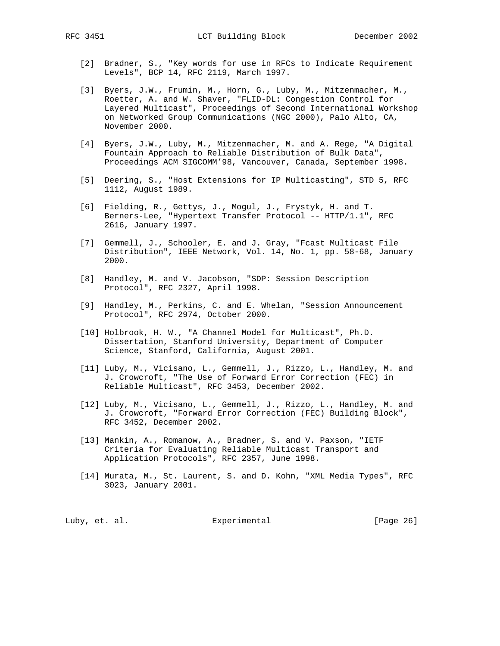- [2] Bradner, S., "Key words for use in RFCs to Indicate Requirement Levels", BCP 14, RFC 2119, March 1997.
- [3] Byers, J.W., Frumin, M., Horn, G., Luby, M., Mitzenmacher, M., Roetter, A. and W. Shaver, "FLID-DL: Congestion Control for Layered Multicast", Proceedings of Second International Workshop on Networked Group Communications (NGC 2000), Palo Alto, CA, November 2000.
- [4] Byers, J.W., Luby, M., Mitzenmacher, M. and A. Rege, "A Digital Fountain Approach to Reliable Distribution of Bulk Data", Proceedings ACM SIGCOMM'98, Vancouver, Canada, September 1998.
- [5] Deering, S., "Host Extensions for IP Multicasting", STD 5, RFC 1112, August 1989.
- [6] Fielding, R., Gettys, J., Mogul, J., Frystyk, H. and T. Berners-Lee, "Hypertext Transfer Protocol -- HTTP/1.1", RFC 2616, January 1997.
- [7] Gemmell, J., Schooler, E. and J. Gray, "Fcast Multicast File Distribution", IEEE Network, Vol. 14, No. 1, pp. 58-68, January 2000.
- [8] Handley, M. and V. Jacobson, "SDP: Session Description Protocol", RFC 2327, April 1998.
- [9] Handley, M., Perkins, C. and E. Whelan, "Session Announcement Protocol", RFC 2974, October 2000.
- [10] Holbrook, H. W., "A Channel Model for Multicast", Ph.D. Dissertation, Stanford University, Department of Computer Science, Stanford, California, August 2001.
- [11] Luby, M., Vicisano, L., Gemmell, J., Rizzo, L., Handley, M. and J. Crowcroft, "The Use of Forward Error Correction (FEC) in Reliable Multicast", RFC 3453, December 2002.
- [12] Luby, M., Vicisano, L., Gemmell, J., Rizzo, L., Handley, M. and J. Crowcroft, "Forward Error Correction (FEC) Building Block", RFC 3452, December 2002.
- [13] Mankin, A., Romanow, A., Bradner, S. and V. Paxson, "IETF Criteria for Evaluating Reliable Multicast Transport and Application Protocols", RFC 2357, June 1998.
- [14] Murata, M., St. Laurent, S. and D. Kohn, "XML Media Types", RFC 3023, January 2001.

Luby, et. al. Subsectimental Experimental [Page 26]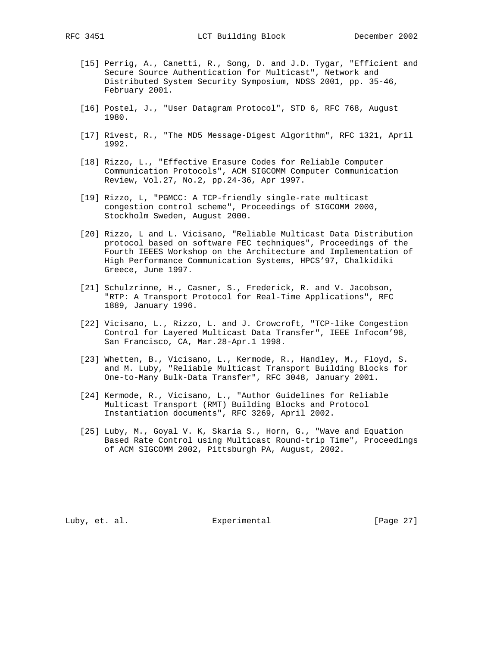- [15] Perrig, A., Canetti, R., Song, D. and J.D. Tygar, "Efficient and Secure Source Authentication for Multicast", Network and Distributed System Security Symposium, NDSS 2001, pp. 35-46, February 2001.
- [16] Postel, J., "User Datagram Protocol", STD 6, RFC 768, August 1980.
- [17] Rivest, R., "The MD5 Message-Digest Algorithm", RFC 1321, April 1992.
- [18] Rizzo, L., "Effective Erasure Codes for Reliable Computer Communication Protocols", ACM SIGCOMM Computer Communication Review, Vol.27, No.2, pp.24-36, Apr 1997.
- [19] Rizzo, L, "PGMCC: A TCP-friendly single-rate multicast congestion control scheme", Proceedings of SIGCOMM 2000, Stockholm Sweden, August 2000.
- [20] Rizzo, L and L. Vicisano, "Reliable Multicast Data Distribution protocol based on software FEC techniques", Proceedings of the Fourth IEEES Workshop on the Architecture and Implementation of High Performance Communication Systems, HPCS'97, Chalkidiki Greece, June 1997.
- [21] Schulzrinne, H., Casner, S., Frederick, R. and V. Jacobson, "RTP: A Transport Protocol for Real-Time Applications", RFC 1889, January 1996.
- [22] Vicisano, L., Rizzo, L. and J. Crowcroft, "TCP-like Congestion Control for Layered Multicast Data Transfer", IEEE Infocom'98, San Francisco, CA, Mar.28-Apr.1 1998.
- [23] Whetten, B., Vicisano, L., Kermode, R., Handley, M., Floyd, S. and M. Luby, "Reliable Multicast Transport Building Blocks for One-to-Many Bulk-Data Transfer", RFC 3048, January 2001.
- [24] Kermode, R., Vicisano, L., "Author Guidelines for Reliable Multicast Transport (RMT) Building Blocks and Protocol Instantiation documents", RFC 3269, April 2002.
- [25] Luby, M., Goyal V. K, Skaria S., Horn, G., "Wave and Equation Based Rate Control using Multicast Round-trip Time", Proceedings of ACM SIGCOMM 2002, Pittsburgh PA, August, 2002.

Luby, et. al. Subsectimental Experimental [Page 27]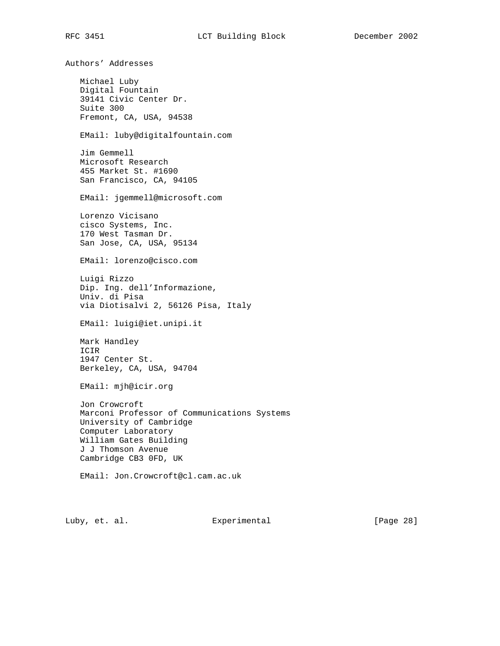Authors' Addresses Michael Luby Digital Fountain 39141 Civic Center Dr. Suite 300 Fremont, CA, USA, 94538 EMail: luby@digitalfountain.com Jim Gemmell Microsoft Research 455 Market St. #1690 San Francisco, CA, 94105 EMail: jgemmell@microsoft.com Lorenzo Vicisano cisco Systems, Inc. 170 West Tasman Dr. San Jose, CA, USA, 95134 EMail: lorenzo@cisco.com Luigi Rizzo Dip. Ing. dell'Informazione, Univ. di Pisa via Diotisalvi 2, 56126 Pisa, Italy EMail: luigi@iet.unipi.it Mark Handley ICIR 1947 Center St. Berkeley, CA, USA, 94704 EMail: mjh@icir.org Jon Crowcroft Marconi Professor of Communications Systems University of Cambridge Computer Laboratory William Gates Building J J Thomson Avenue Cambridge CB3 0FD, UK EMail: Jon.Crowcroft@cl.cam.ac.uk

Luby, et. al. Subsectimental Experimental [Page 28]